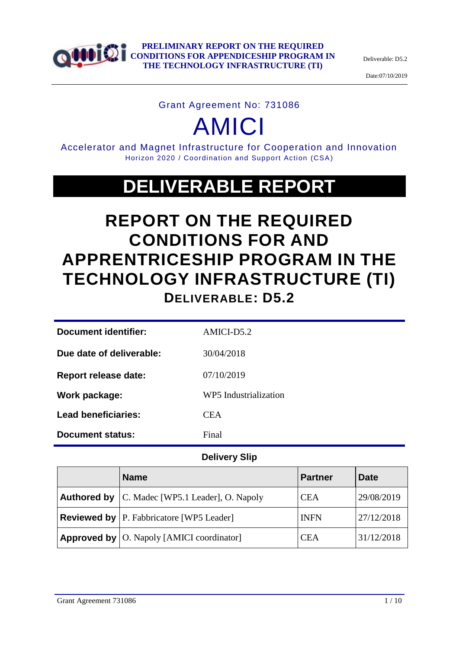

Deliverable: D5.2

Date:07/10/2019

## Grant Agreement No: 731086

# AMICI

Accelerator and Magnet Infrastructure for Cooperation and Innovation Horizon 2020 / Coordination and Support Action (CSA)

## **DELIVERABLE REPORT**

## **REPORT ON THE REQUIRED CONDITIONS FOR AND APPRENTRICESHIP PROGRAM IN THE TECHNOLOGY INFRASTRUCTURE (TI) DELIVERABLE: D5.2**

| <b>Document identifier:</b> | AMICI-D5.2            |
|-----------------------------|-----------------------|
| Due date of deliverable:    | 30/04/2018            |
| <b>Report release date:</b> | 07/10/2019            |
| Work package:               | WP5 Industrialization |
| <b>Lead beneficiaries:</b>  | <b>CEA</b>            |
| Document status:            | Final                 |
|                             |                       |

## **Delivery Slip**

|                                                          | <b>Name</b>                                             | <b>Partner</b> | <b>Date</b> |
|----------------------------------------------------------|---------------------------------------------------------|----------------|-------------|
|                                                          | <b>Authored by</b>   C. Madec [WP5.1 Leader], O. Napoly | <b>CEA</b>     | 29/08/2019  |
|                                                          | <b>Reviewed by</b> P. Fabbricatore [WP5 Leader]         | <b>INFN</b>    | 27/12/2018  |
| <b>Approved by</b> $\vert$ O. Napoly [AMICI coordinator] |                                                         | <b>CEA</b>     | 31/12/2018  |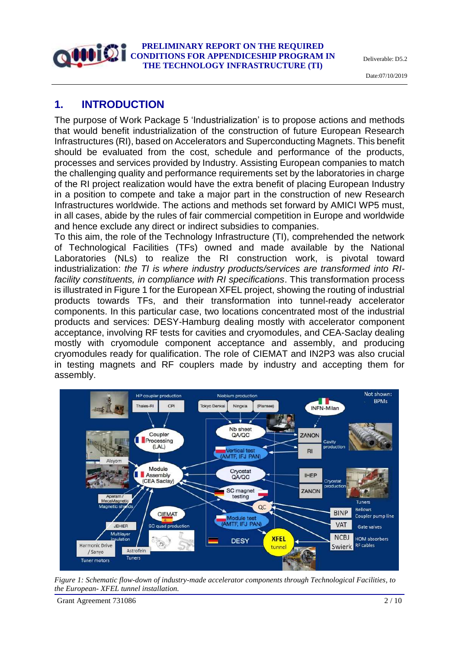Deliverable: D5.2

Date:07/10/2019

## **1. INTRODUCTION**

The purpose of Work Package 5 'Industrialization' is to propose actions and methods that would benefit industrialization of the construction of future European Research Infrastructures (RI), based on Accelerators and Superconducting Magnets. This benefit should be evaluated from the cost, schedule and performance of the products, processes and services provided by Industry. Assisting European companies to match the challenging quality and performance requirements set by the laboratories in charge of the RI project realization would have the extra benefit of placing European Industry in a position to compete and take a major part in the construction of new Research Infrastructures worldwide. The actions and methods set forward by AMICI WP5 must, in all cases, abide by the rules of fair commercial competition in Europe and worldwide and hence exclude any direct or indirect subsidies to companies.

To this aim, the role of the Technology Infrastructure (TI), comprehended the network of Technological Facilities (TFs) owned and made available by the National Laboratories (NLs) to realize the RI construction work, is pivotal toward industrialization: *the TI is where industry products/services are transformed into RIfacility constituents, in compliance with RI specifications*. This transformation process is illustrated in Figure 1 for the European XFEL project, showing the routing of industrial products towards TFs, and their transformation into tunnel-ready accelerator components. In this particular case, two locations concentrated most of the industrial products and services: DESY-Hamburg dealing mostly with accelerator component acceptance, involving RF tests for cavities and cryomodules, and CEA-Saclay dealing mostly with cryomodule component acceptance and assembly, and producing cryomodules ready for qualification. The role of CIEMAT and IN2P3 was also crucial in testing magnets and RF couplers made by industry and accepting them for assembly.



*Figure 1: Schematic flow-down of industry-made accelerator components through Technological Facilities, to the European- XFEL tunnel installation.*

Grant Agreement 731086 2 / 10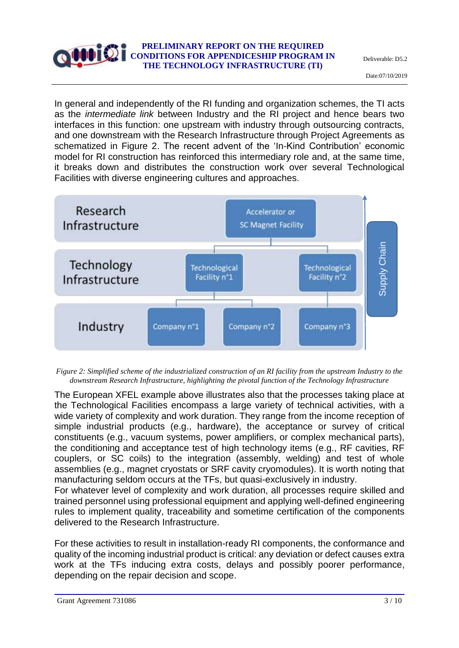In general and independently of the RI funding and organization schemes, the TI acts as the *intermediate link* between Industry and the RI project and hence bears two interfaces in this function: one upstream with industry through outsourcing contracts, and one downstream with the Research Infrastructure through Project Agreements as schematized in Figure 2. The recent advent of the 'In-Kind Contribution' economic model for RI construction has reinforced this intermediary role and, at the same time, it breaks down and distributes the construction work over several Technological Facilities with diverse engineering cultures and approaches.



*Figure 2: Simplified scheme of the industrialized construction of an RI facility from the upstream Industry to the downstream Research Infrastructure, highlighting the pivotal function of the Technology Infrastructure*

The European XFEL example above illustrates also that the processes taking place at the Technological Facilities encompass a large variety of technical activities, with a wide variety of complexity and work duration. They range from the income reception of simple industrial products (e.g., hardware), the acceptance or survey of critical constituents (e.g., vacuum systems, power amplifiers, or complex mechanical parts), the conditioning and acceptance test of high technology items (e.g., RF cavities, RF couplers, or SC coils) to the integration (assembly, welding) and test of whole assemblies (e.g., magnet cryostats or SRF cavity cryomodules). It is worth noting that manufacturing seldom occurs at the TFs, but quasi-exclusively in industry.

For whatever level of complexity and work duration, all processes require skilled and trained personnel using professional equipment and applying well-defined engineering rules to implement quality, traceability and sometime certification of the components delivered to the Research Infrastructure.

For these activities to result in installation-ready RI components, the conformance and quality of the incoming industrial product is critical: any deviation or defect causes extra work at the TFs inducing extra costs, delays and possibly poorer performance, depending on the repair decision and scope.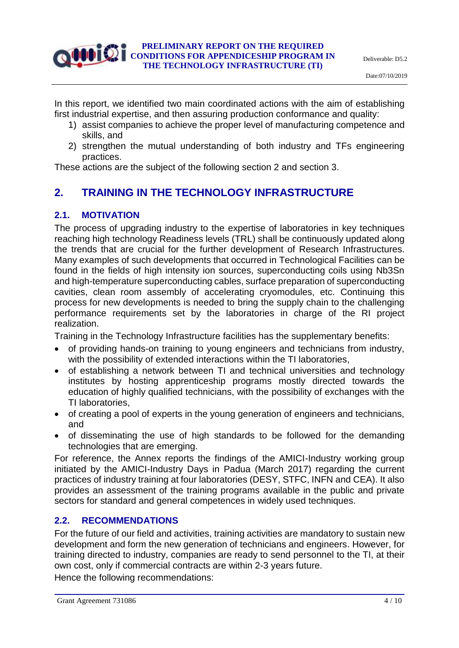In this report, we identified two main coordinated actions with the aim of establishing first industrial expertise, and then assuring production conformance and quality:

- 1) assist companies to achieve the proper level of manufacturing competence and skills, and
- 2) strengthen the mutual understanding of both industry and TFs engineering practices.

These actions are the subject of the following section 2 and section 3.

## **2. TRAINING IN THE TECHNOLOGY INFRASTRUCTURE**

### **2.1. MOTIVATION**

The process of upgrading industry to the expertise of laboratories in key techniques reaching high technology Readiness levels (TRL) shall be continuously updated along the trends that are crucial for the further development of Research Infrastructures. Many examples of such developments that occurred in Technological Facilities can be found in the fields of high intensity ion sources, superconducting coils using Nb3Sn and high-temperature superconducting cables, surface preparation of superconducting cavities, clean room assembly of accelerating cryomodules, etc. Continuing this process for new developments is needed to bring the supply chain to the challenging performance requirements set by the laboratories in charge of the RI project realization.

Training in the Technology Infrastructure facilities has the supplementary benefits:

- of providing hands-on training to young engineers and technicians from industry, with the possibility of extended interactions within the TI laboratories,
- of establishing a network between TI and technical universities and technology institutes by hosting apprenticeship programs mostly directed towards the education of highly qualified technicians, with the possibility of exchanges with the TI laboratories,
- of creating a pool of experts in the young generation of engineers and technicians, and
- of disseminating the use of high standards to be followed for the demanding technologies that are emerging.

For reference, the Annex reports the findings of the AMICI-Industry working group initiated by the AMICI-Industry Days in Padua (March 2017) regarding the current practices of industry training at four laboratories (DESY, STFC, INFN and CEA). It also provides an assessment of the training programs available in the public and private sectors for standard and general competences in widely used techniques.

#### **2.2. RECOMMENDATIONS**

For the future of our field and activities, training activities are mandatory to sustain new development and form the new generation of technicians and engineers. However, for training directed to industry, companies are ready to send personnel to the TI, at their own cost, only if commercial contracts are within 2-3 years future.

Hence the following recommendations: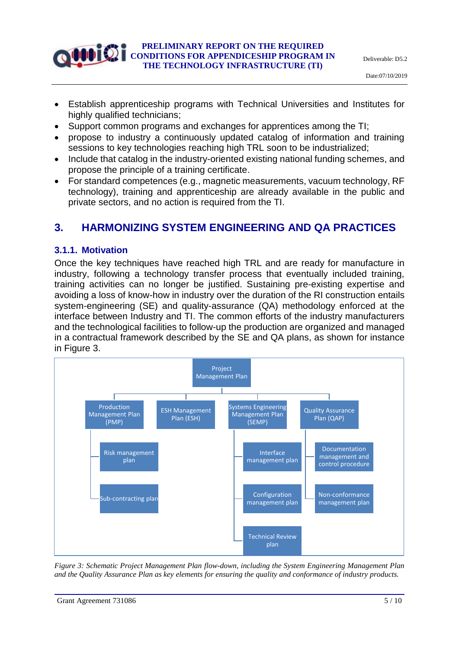- Establish apprenticeship programs with Technical Universities and Institutes for highly qualified technicians;
- Support common programs and exchanges for apprentices among the TI;
- propose to industry a continuously updated catalog of information and training sessions to key technologies reaching high TRL soon to be industrialized;
- Include that catalog in the industry-oriented existing national funding schemes, and propose the principle of a training certificate.
- For standard competences (e.g., magnetic measurements, vacuum technology, RF technology), training and apprenticeship are already available in the public and private sectors, and no action is required from the TI.

## **3. HARMONIZING SYSTEM ENGINEERING AND QA PRACTICES**

#### **3.1.1. Motivation**

Once the key techniques have reached high TRL and are ready for manufacture in industry, following a technology transfer process that eventually included training, training activities can no longer be justified. Sustaining pre-existing expertise and avoiding a loss of know-how in industry over the duration of the RI construction entails system-engineering (SE) and quality-assurance (QA) methodology enforced at the interface between Industry and TI. The common efforts of the industry manufacturers and the technological facilities to follow-up the production are organized and managed in a contractual framework described by the SE and QA plans, as shown for instance in Figure 3.



*Figure 3: Schematic Project Management Plan flow-down, including the System Engineering Management Plan and the Quality Assurance Plan as key elements for ensuring the quality and conformance of industry products.*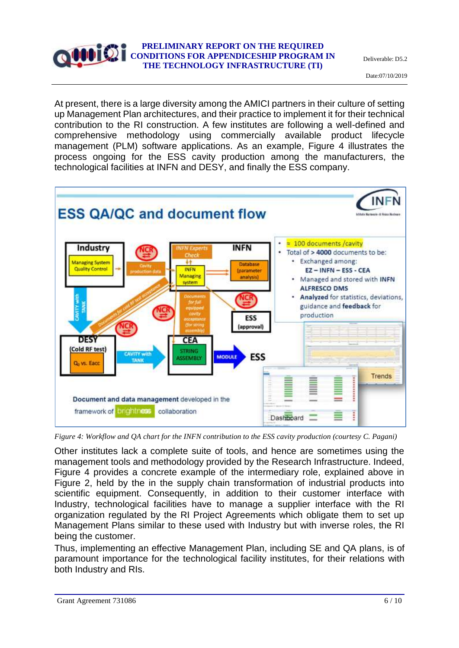Deliverable: D5.2

Date:07/10/2019

At present, there is a large diversity among the AMICI partners in their culture of setting up Management Plan architectures, and their practice to implement it for their technical contribution to the RI construction. A few institutes are following a well-defined and comprehensive methodology using commercially available product lifecycle management (PLM) software applications. As an example, Figure 4 illustrates the process ongoing for the ESS cavity production among the manufacturers, the technological facilities at INFN and DESY, and finally the ESS company.



*Figure 4: Workflow and QA chart for the INFN contribution to the ESS cavity production (courtesy C. Pagani)*

Other institutes lack a complete suite of tools, and hence are sometimes using the management tools and methodology provided by the Research Infrastructure. Indeed, Figure 4 provides a concrete example of the intermediary role, explained above in Figure 2, held by the in the supply chain transformation of industrial products into scientific equipment. Consequently, in addition to their customer interface with Industry, technological facilities have to manage a supplier interface with the RI organization regulated by the RI Project Agreements which obligate them to set up Management Plans similar to these used with Industry but with inverse roles, the RI being the customer.

Thus, implementing an effective Management Plan, including SE and QA plans, is of paramount importance for the technological facility institutes, for their relations with both Industry and RIs.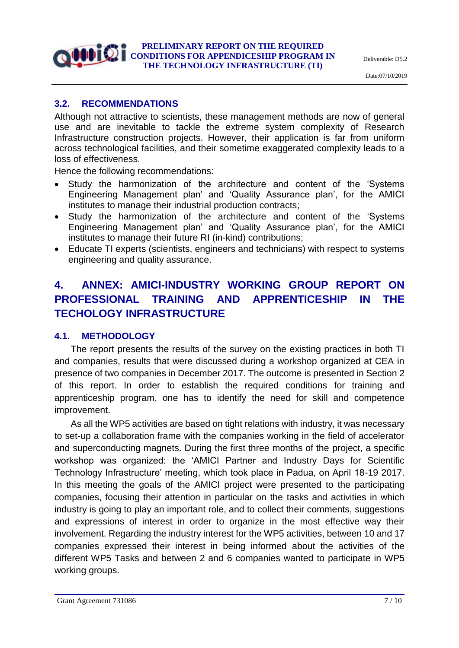### **3.2. RECOMMENDATIONS**

Although not attractive to scientists, these management methods are now of general use and are inevitable to tackle the extreme system complexity of Research Infrastructure construction projects. However, their application is far from uniform across technological facilities, and their sometime exaggerated complexity leads to a loss of effectiveness.

Hence the following recommendations:

- Study the harmonization of the architecture and content of the 'Systems Engineering Management plan' and 'Quality Assurance plan', for the AMICI institutes to manage their industrial production contracts;
- Study the harmonization of the architecture and content of the 'Systems Engineering Management plan' and 'Quality Assurance plan', for the AMICI institutes to manage their future RI (in-kind) contributions;
- Educate TI experts (scientists, engineers and technicians) with respect to systems engineering and quality assurance.

## **4. ANNEX: AMICI-INDUSTRY WORKING GROUP REPORT ON PROFESSIONAL TRAINING AND APPRENTICESHIP IN THE TECHOLOGY INFRASTRUCTURE**

#### **4.1. METHODOLOGY**

The report presents the results of the survey on the existing practices in both TI and companies, results that were discussed during a workshop organized at CEA in presence of two companies in December 2017. The outcome is presented in Section 2 of this report. In order to establish the required conditions for training and apprenticeship program, one has to identify the need for skill and competence improvement.

As all the WP5 activities are based on tight relations with industry, it was necessary to set-up a collaboration frame with the companies working in the field of accelerator and superconducting magnets. During the first three months of the project, a specific workshop was organized: the 'AMICI Partner and Industry Days for Scientific Technology Infrastructure' meeting, which took place in Padua, on April 18-19 2017. In this meeting the goals of the AMICI project were presented to the participating companies, focusing their attention in particular on the tasks and activities in which industry is going to play an important role, and to collect their comments, suggestions and expressions of interest in order to organize in the most effective way their involvement. Regarding the industry interest for the WP5 activities, between 10 and 17 companies expressed their interest in being informed about the activities of the different WP5 Tasks and between 2 and 6 companies wanted to participate in WP5 working groups.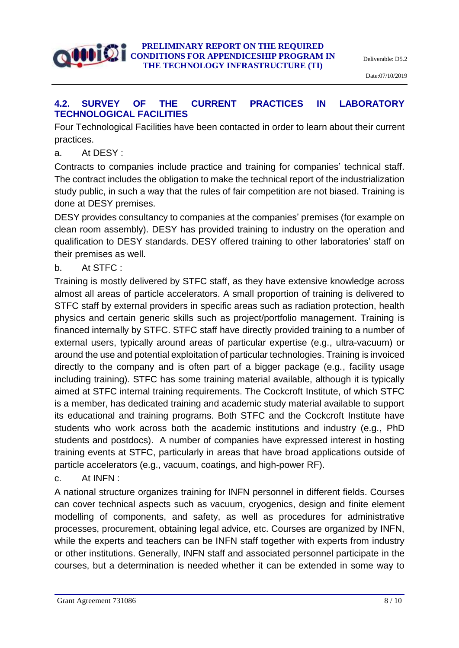

## **4.2. SURVEY OF THE CURRENT PRACTICES IN LABORATORY TECHNOLOGICAL FACILITIES**

Four Technological Facilities have been contacted in order to learn about their current practices.

a. At DESY :

Contracts to companies include practice and training for companies' technical staff. The contract includes the obligation to make the technical report of the industrialization study public, in such a way that the rules of fair competition are not biased. Training is done at DESY premises.

DESY provides consultancy to companies at the companies' premises (for example on clean room assembly). DESY has provided training to industry on the operation and qualification to DESY standards. DESY offered training to other laboratories' staff on their premises as well.

b. At STFC :

Training is mostly delivered by STFC staff, as they have extensive knowledge across almost all areas of particle accelerators. A small proportion of training is delivered to STFC staff by external providers in specific areas such as radiation protection, health physics and certain generic skills such as project/portfolio management. Training is financed internally by STFC. STFC staff have directly provided training to a number of external users, typically around areas of particular expertise (e.g., ultra-vacuum) or around the use and potential exploitation of particular technologies. Training is invoiced directly to the company and is often part of a bigger package (e.g., facility usage including training). STFC has some training material available, although it is typically aimed at STFC internal training requirements. The Cockcroft Institute, of which STFC is a member, has dedicated training and academic study material available to support its educational and training programs. Both STFC and the Cockcroft Institute have students who work across both the academic institutions and industry (e.g., PhD students and postdocs). A number of companies have expressed interest in hosting training events at STFC, particularly in areas that have broad applications outside of particle accelerators (e.g., vacuum, coatings, and high-power RF).

c. At INFN :

A national structure organizes training for INFN personnel in different fields. Courses can cover technical aspects such as vacuum, cryogenics, design and finite element modelling of components, and safety, as well as procedures for administrative processes, procurement, obtaining legal advice, etc. Courses are organized by INFN, while the experts and teachers can be INFN staff together with experts from industry or other institutions. Generally, INFN staff and associated personnel participate in the courses, but a determination is needed whether it can be extended in some way to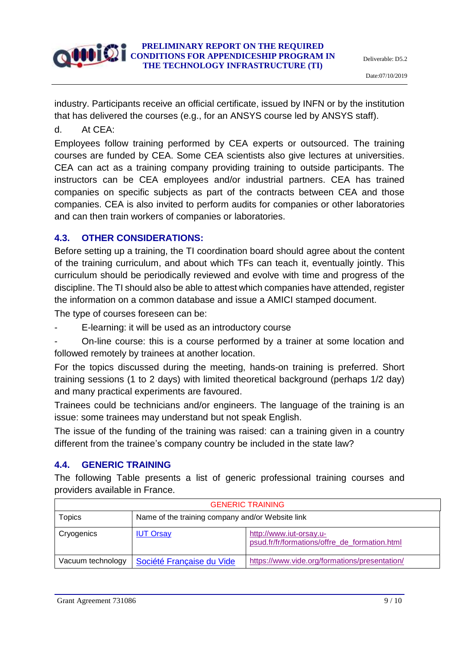industry. Participants receive an official certificate, issued by INFN or by the institution that has delivered the courses (e.g., for an ANSYS course led by ANSYS staff).

d. At CEA:

Employees follow training performed by CEA experts or outsourced. The training courses are funded by CEA. Some CEA scientists also give lectures at universities. CEA can act as a training company providing training to outside participants. The instructors can be CEA employees and/or industrial partners. CEA has trained companies on specific subjects as part of the contracts between CEA and those companies. CEA is also invited to perform audits for companies or other laboratories and can then train workers of companies or laboratories.

## **4.3. OTHER CONSIDERATIONS:**

Before setting up a training, the TI coordination board should agree about the content of the training curriculum, and about which TFs can teach it, eventually jointly. This curriculum should be periodically reviewed and evolve with time and progress of the discipline. The TI should also be able to attest which companies have attended, register the information on a common database and issue a AMICI stamped document.

The type of courses foreseen can be:

- E-learning: it will be used as an introductory course
- On-line course: this is a course performed by a trainer at some location and followed remotely by trainees at another location.

For the topics discussed during the meeting, hands-on training is preferred. Short training sessions (1 to 2 days) with limited theoretical background (perhaps 1/2 day) and many practical experiments are favoured.

Trainees could be technicians and/or engineers. The language of the training is an issue: some trainees may understand but not speak English.

The issue of the funding of the training was raised: can a training given in a country different from the trainee's company country be included in the state law?

## **4.4. GENERIC TRAINING**

The following Table presents a list of generic professional training courses and providers available in France.

| <b>GENERIC TRAINING</b> |                                                  |                                                                          |  |  |
|-------------------------|--------------------------------------------------|--------------------------------------------------------------------------|--|--|
| <b>Topics</b>           | Name of the training company and/or Website link |                                                                          |  |  |
| Cryogenics              | <b>IUT Orsay</b>                                 | http://www.iut-orsay.u-<br>psud.fr/fr/formations/offre de formation.html |  |  |
| Vacuum technology       | Société Française du Vide                        | https://www.vide.org/formations/presentation/                            |  |  |